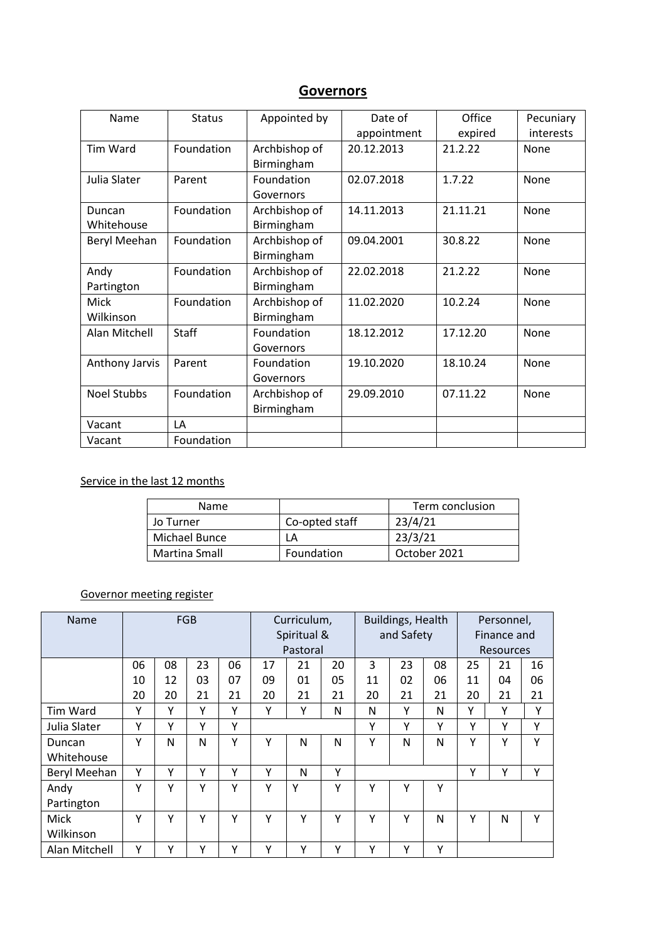# **Governors**

| Name               | <b>Status</b> | Appointed by  | Date of     | Office   | Pecuniary |  |
|--------------------|---------------|---------------|-------------|----------|-----------|--|
|                    |               |               | appointment | expired  | interests |  |
| Tim Ward           | Foundation    | Archbishop of | 20.12.2013  | 21.2.22  | None      |  |
|                    |               | Birmingham    |             |          |           |  |
| Julia Slater       | Parent        | Foundation    | 02.07.2018  | 1.7.22   | None      |  |
|                    |               | Governors     |             |          |           |  |
| Duncan             | Foundation    | Archbishop of | 14.11.2013  | 21.11.21 | None      |  |
| Whitehouse         |               | Birmingham    |             |          |           |  |
| Beryl Meehan       | Foundation    | Archbishop of | 09.04.2001  | 30.8.22  | None      |  |
|                    |               | Birmingham    |             |          |           |  |
| Andy               | Foundation    | Archbishop of | 22.02.2018  | 21.2.22  | None      |  |
| Partington         |               | Birmingham    |             |          |           |  |
| Mick               | Foundation    | Archbishop of | 11.02.2020  | 10.2.24  | None      |  |
| Wilkinson          |               | Birmingham    |             |          |           |  |
| Alan Mitchell      | Staff         | Foundation    | 18.12.2012  | 17.12.20 | None      |  |
|                    |               | Governors     |             |          |           |  |
| Anthony Jarvis     | Parent        | Foundation    | 19.10.2020  | 18.10.24 | None      |  |
|                    |               | Governors     |             |          |           |  |
| <b>Noel Stubbs</b> | Foundation    | Archbishop of | 29.09.2010  | 07.11.22 | None      |  |
|                    |               | Birmingham    |             |          |           |  |
| Vacant             | LA            |               |             |          |           |  |
| Vacant             | Foundation    |               |             |          |           |  |

#### Service in the last 12 months

| Name          |                | Term conclusion |  |  |  |
|---------------|----------------|-----------------|--|--|--|
| Jo Turner     | Co-opted staff | 23/4/21         |  |  |  |
| Michael Bunce | ΙA             | 23/3/21         |  |  |  |
| Martina Small | Foundation     | October 2021    |  |  |  |

# Governor meeting register

| Name            | <b>FGB</b> |    |    |             | Curriculum, |    |            | Buildings, Health |    |             | Personnel,       |    |    |
|-----------------|------------|----|----|-------------|-------------|----|------------|-------------------|----|-------------|------------------|----|----|
|                 |            |    |    | Spiritual & |             |    | and Safety |                   |    | Finance and |                  |    |    |
|                 |            |    |    |             | Pastoral    |    |            |                   |    |             | <b>Resources</b> |    |    |
|                 | 06         | 08 | 23 | 06          | 17          | 21 | 20         | 3                 | 23 | 08          | 25               | 21 | 16 |
|                 | 10         | 12 | 03 | 07          | 09          | 01 | 05         | 11                | 02 | 06          | 11               | 04 | 06 |
|                 | 20         | 20 | 21 | 21          | 20          | 21 | 21         | 20                | 21 | 21          | 20               | 21 | 21 |
| <b>Tim Ward</b> | Υ          | Υ  | Υ  | Υ           | Υ           | Υ  | N          | N                 | Υ  | N           | Υ                | Υ  | Υ  |
| Julia Slater    | Υ          | Υ  | Y  | Υ           |             |    |            | Υ                 | Υ  | Υ           | Y                | Υ  | Υ  |
| Duncan          | Y          | N  | N  | Υ           | Υ           | N  | N          | Υ                 | N  | N           | Y                | Y  | γ  |
| Whitehouse      |            |    |    |             |             |    |            |                   |    |             |                  |    |    |
| Beryl Meehan    | Υ          | γ  | Υ  | Υ           | γ           | N  | Y          |                   |    |             | Υ                | Υ  | Υ  |
| Andy            | Y          | Υ  | Y  | Υ           | Υ           | Y  | Y          | Υ                 | Υ  | Υ           |                  |    |    |
| Partington      |            |    |    |             |             |    |            |                   |    |             |                  |    |    |
| Mick            | Υ          | ٧  | Υ  | Υ           | Υ           | Υ  | Υ          | Υ                 | Υ  | N           | Υ                | N  | v  |
| Wilkinson       |            |    |    |             |             |    |            |                   |    |             |                  |    |    |
| Alan Mitchell   | Υ          | γ  | Υ  | Υ           | Υ           | Υ  | Υ          | Υ                 | Υ  | Υ           |                  |    |    |